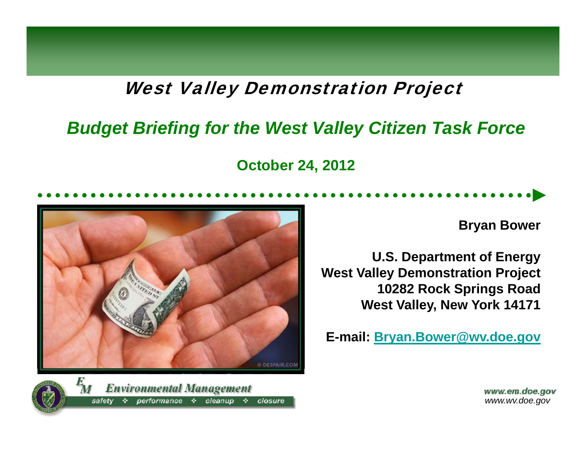#### **West Valley Demonstration Project**

#### *Budget Briefing for the West Valley Citizen Task Force*

**October 24, 2012**



 $\mathbf{F}_{\boldsymbol{M}}$ **Environmental Management** performance  $\div$  cleanup closure safetv ÷ -≎-

**Bryan Bower**

**U.S. Department of Energy West Valley Demonstration Project 10282 Rock Springs Road West Valle y, New York 14171**

**E-mail: Bryan.Bower@wv.doe.gov**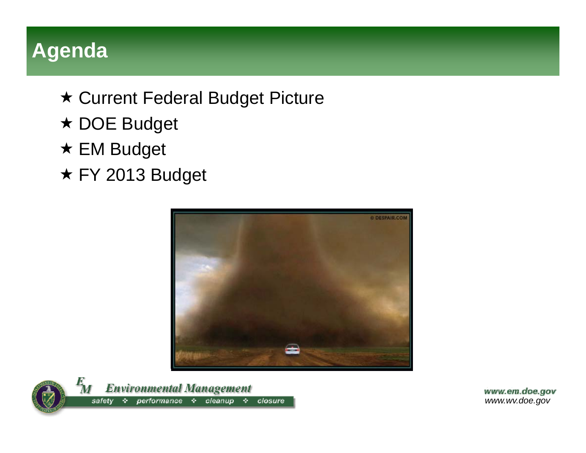# **Agenda**

- Current Federal Budget Picture
- ★ DOE Budget
- **★ EM Budget**
- ★ FY 2013 Budget



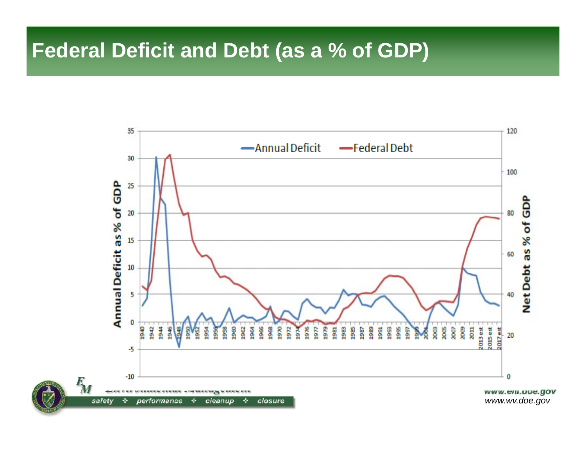### **Federal Deficit and Debt (as a % of GDP)**

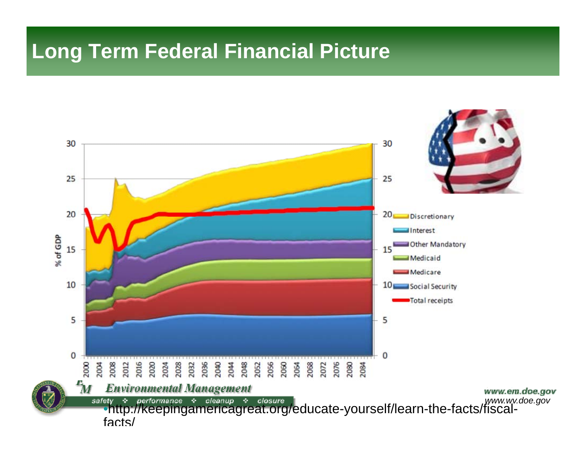#### **Long Term Federal Financial Picture**

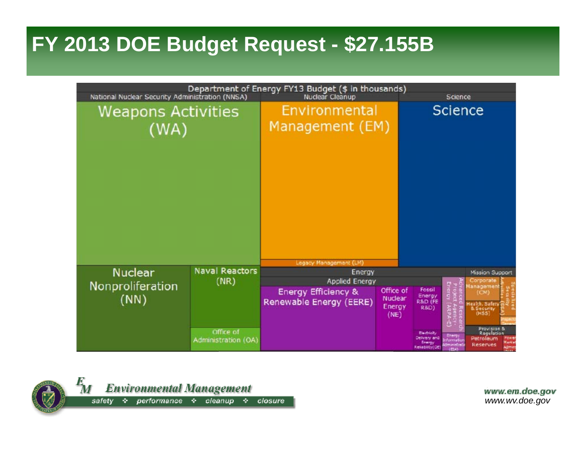## **FY 2013 DOE Budget Request - \$27.155B**



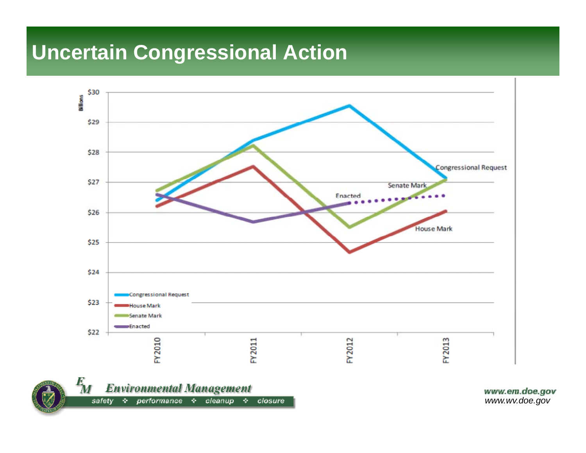# **Uncertain Congressional Action**



+ performance + cleanup + closure safety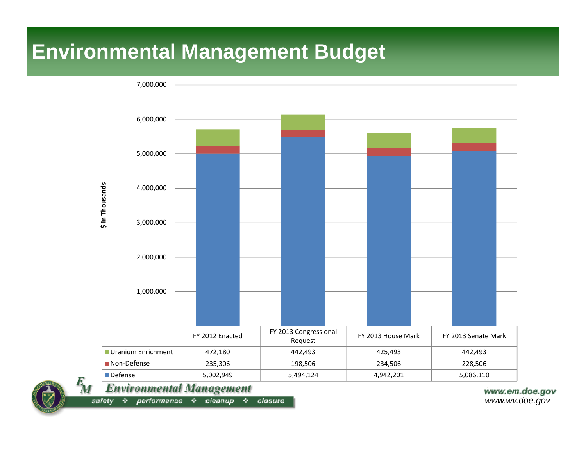# **Environmental Management Budget**



 $cleanup$ closure safety 办 performance  $\div$ 交付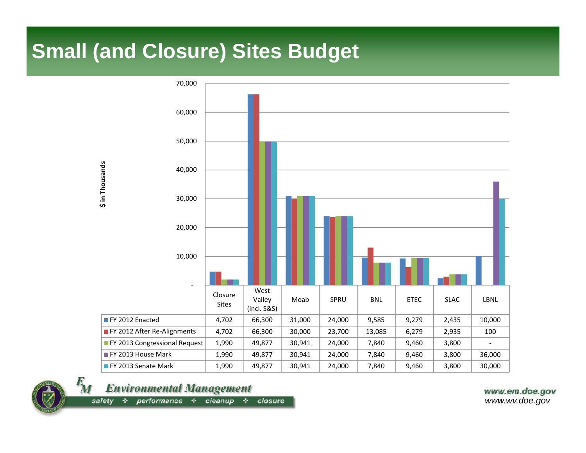### **Small (and Closure) Sites Budget**





**Environmental Management** 

 $cleanup \Leftrightarrow closure$  $performance \Leftrightarrow$ safety 办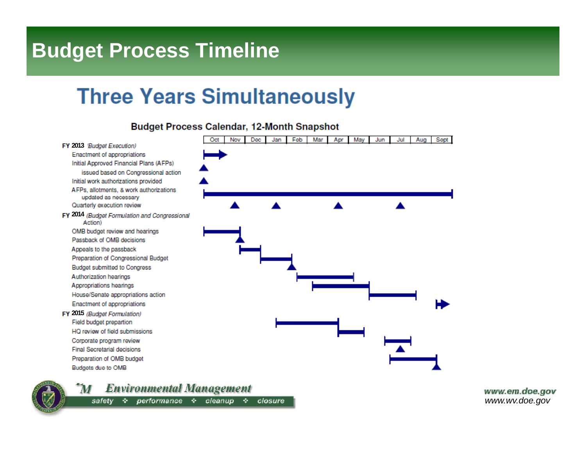# **Budget Process Timeline**

# **Three Years Simultaneously**



**Budget Process Calendar, 12-Month Snapshot** 



**Environmental Management**  $\bm{M}$ 

safety  $\div$  performance  $\div$  cleanup  $\div$  closure